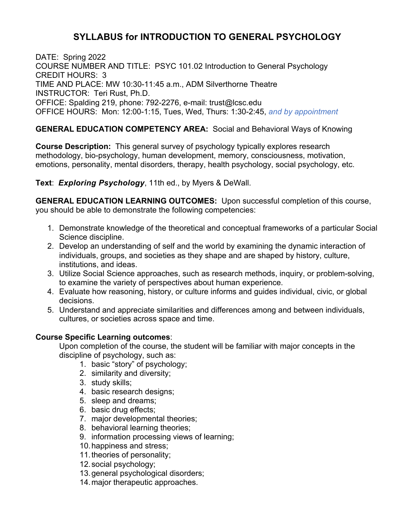## **SYLLABUS for INTRODUCTION TO GENERAL PSYCHOLOGY**

DATE: Spring 2022 COURSE NUMBER AND TITLE: PSYC 101.02 Introduction to General Psychology CREDIT HOURS: 3 TIME AND PLACE: MW 10:30-11:45 a.m., ADM Silverthorne Theatre INSTRUCTOR: Teri Rust, Ph.D. OFFICE: Spalding 219, phone: 792-2276, e-mail: trust@lcsc.edu OFFICE HOURS: Mon: 12:00-1:15, Tues, Wed, Thurs: 1:30-2:45, *and by appointment*

## **GENERAL EDUCATION COMPETENCY AREA:** Social and Behavioral Ways of Knowing

**Course Description:** This general survey of psychology typically explores research methodology, bio-psychology, human development, memory, consciousness, motivation, emotions, personality, mental disorders, therapy, health psychology, social psychology, etc.

**Text**: *Exploring Psychology*, 11th ed., by Myers & DeWall.

**GENERAL EDUCATION LEARNING OUTCOMES:** Upon successful completion of this course, you should be able to demonstrate the following competencies:

- 1. Demonstrate knowledge of the theoretical and conceptual frameworks of a particular Social Science discipline.
- 2. Develop an understanding of self and the world by examining the dynamic interaction of individuals, groups, and societies as they shape and are shaped by history, culture, institutions, and ideas.
- 3. Utilize Social Science approaches, such as research methods, inquiry, or problem-solving, to examine the variety of perspectives about human experience.
- 4. Evaluate how reasoning, history, or culture informs and guides individual, civic, or global decisions.
- 5. Understand and appreciate similarities and differences among and between individuals, cultures, or societies across space and time.

## **Course Specific Learning outcomes**:

Upon completion of the course, the student will be familiar with major concepts in the discipline of psychology, such as:

- 1. basic "story" of psychology;
- 2. similarity and diversity;
- 3. study skills;
- 4. basic research designs;
- 5. sleep and dreams;
- 6. basic drug effects;
- 7. major developmental theories;
- 8. behavioral learning theories;
- 9. information processing views of learning;
- 10.happiness and stress;
- 11.theories of personality;
- 12.social psychology;
- 13.general psychological disorders;
- 14.major therapeutic approaches.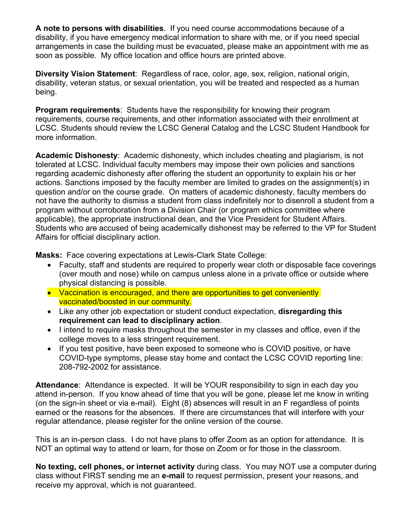**A note to persons with disabilities**. If you need course accommodations because of a disability, if you have emergency medical information to share with me, or if you need special arrangements in case the building must be evacuated, please make an appointment with me as soon as possible. My office location and office hours are printed above.

**Diversity Vision Statement**: Regardless of race, color, age, sex, religion, national origin, disability, veteran status, or sexual orientation, you will be treated and respected as a human being.

**Program requirements**: Students have the responsibility for knowing their program requirements, course requirements, and other information associated with their enrollment at LCSC. Students should review the LCSC General Catalog and the LCSC Student Handbook for more information.

**Academic Dishonesty**: Academic dishonesty, which includes cheating and plagiarism, is not tolerated at LCSC. Individual faculty members may impose their own policies and sanctions regarding academic dishonesty after offering the student an opportunity to explain his or her actions. Sanctions imposed by the faculty member are limited to grades on the assignment(s) in question and/or on the course grade. On matters of academic dishonesty, faculty members do not have the authority to dismiss a student from class indefinitely nor to disenroll a student from a program without corroboration from a Division Chair (or program ethics committee where applicable), the appropriate instructional dean, and the Vice President for Student Affairs. Students who are accused of being academically dishonest may be referred to the VP for Student Affairs for official disciplinary action.

**Masks:** Face covering expectations at Lewis-Clark State College:

- Faculty, staff and students are required to properly wear cloth or disposable face coverings (over mouth and nose) while on campus unless alone in a private office or outside where physical distancing is possible.
- Vaccination is encouraged, and there are opportunities to get conveniently vaccinated/boosted in our community.
- Like any other job expectation or student conduct expectation, **disregarding this requirement can lead to disciplinary action**.
- I intend to require masks throughout the semester in my classes and office, even if the college moves to a less stringent requirement.
- If you test positive, have been exposed to someone who is COVID positive, or have COVID-type symptoms, please stay home and contact the LCSC COVID reporting line: 208-792-2002 for assistance.

**Attendance**: Attendance is expected. It will be YOUR responsibility to sign in each day you attend in-person. If you know ahead of time that you will be gone, please let me know in writing (on the sign-in sheet or via e-mail). Eight (8) absences will result in an F regardless of points earned or the reasons for the absences. If there are circumstances that will interfere with your regular attendance, please register for the online version of the course.

This is an in-person class. I do not have plans to offer Zoom as an option for attendance. It is NOT an optimal way to attend or learn, for those on Zoom or for those in the classroom.

**No texting, cell phones, or internet activity** during class. You may NOT use a computer during class without FIRST sending me an **e-mail** to request permission, present your reasons, and receive my approval, which is not guaranteed.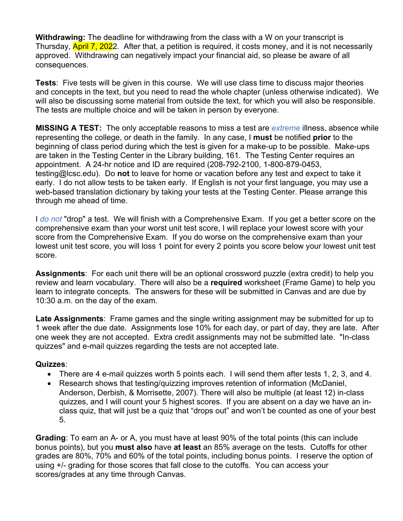**Withdrawing:** The deadline for withdrawing from the class with a W on your transcript is Thursday, **April 7, 202**2. After that, a petition is required, it costs money, and it is not necessarily approved. Withdrawing can negatively impact your financial aid, so please be aware of all consequences.

**Tests**: Five tests will be given in this course. We will use class time to discuss major theories and concepts in the text, but you need to read the whole chapter (unless otherwise indicated). We will also be discussing some material from outside the text, for which you will also be responsible. The tests are multiple choice and will be taken in person by everyone.

**MISSING A TEST:** The only acceptable reasons to miss a test are *extreme* illness, absence while representing the college, or death in the family. In any case, I **must** be notified **prior** to the beginning of class period during which the test is given for a make-up to be possible. Make-ups are taken in the Testing Center in the Library building, 161. The Testing Center requires an appointment. A 24-hr notice and ID are required (208-792-2100, 1-800-879-0453, testing@lcsc.edu). Do **not** to leave for home or vacation before any test and expect to take it early. I do not allow tests to be taken early. If English is not your first language, you may use a web-based translation dictionary by taking your tests at the Testing Center. Please arrange this through me ahead of time.

I *do not* "drop" a test. We will finish with a Comprehensive Exam. If you get a better score on the comprehensive exam than your worst unit test score, I will replace your lowest score with your score from the Comprehensive Exam. If you do worse on the comprehensive exam than your lowest unit test score, you will loss 1 point for every 2 points you score below your lowest unit test score.

**Assignments**: For each unit there will be an optional crossword puzzle (extra credit) to help you review and learn vocabulary. There will also be a **required** worksheet (Frame Game) to help you learn to integrate concepts. The answers for these will be submitted in Canvas and are due by 10:30 a.m. on the day of the exam.

**Late Assignments**: Frame games and the single writing assignment may be submitted for up to 1 week after the due date. Assignments lose 10% for each day, or part of day, they are late. After one week they are not accepted. Extra credit assignments may not be submitted late. "In-class quizzes" and e-mail quizzes regarding the tests are not accepted late.

## **Quizzes**:

- There are 4 e-mail quizzes worth 5 points each. I will send them after tests 1, 2, 3, and 4.
- Research shows that testing/quizzing improves retention of information (McDaniel, Anderson, Derbish, & Morrisette, 2007). There will also be multiple (at least 12) in-class quizzes, and I will count your 5 highest scores. If you are absent on a day we have an inclass quiz, that will just be a quiz that "drops out" and won't be counted as one of your best 5.

**Grading**: To earn an A- or A, you must have at least 90% of the total points (this can include bonus points), but you **must also** have **at least** an 85% average on the tests. Cutoffs for other grades are 80%, 70% and 60% of the total points, including bonus points. I reserve the option of using +/- grading for those scores that fall close to the cutoffs. You can access your scores/grades at any time through Canvas.